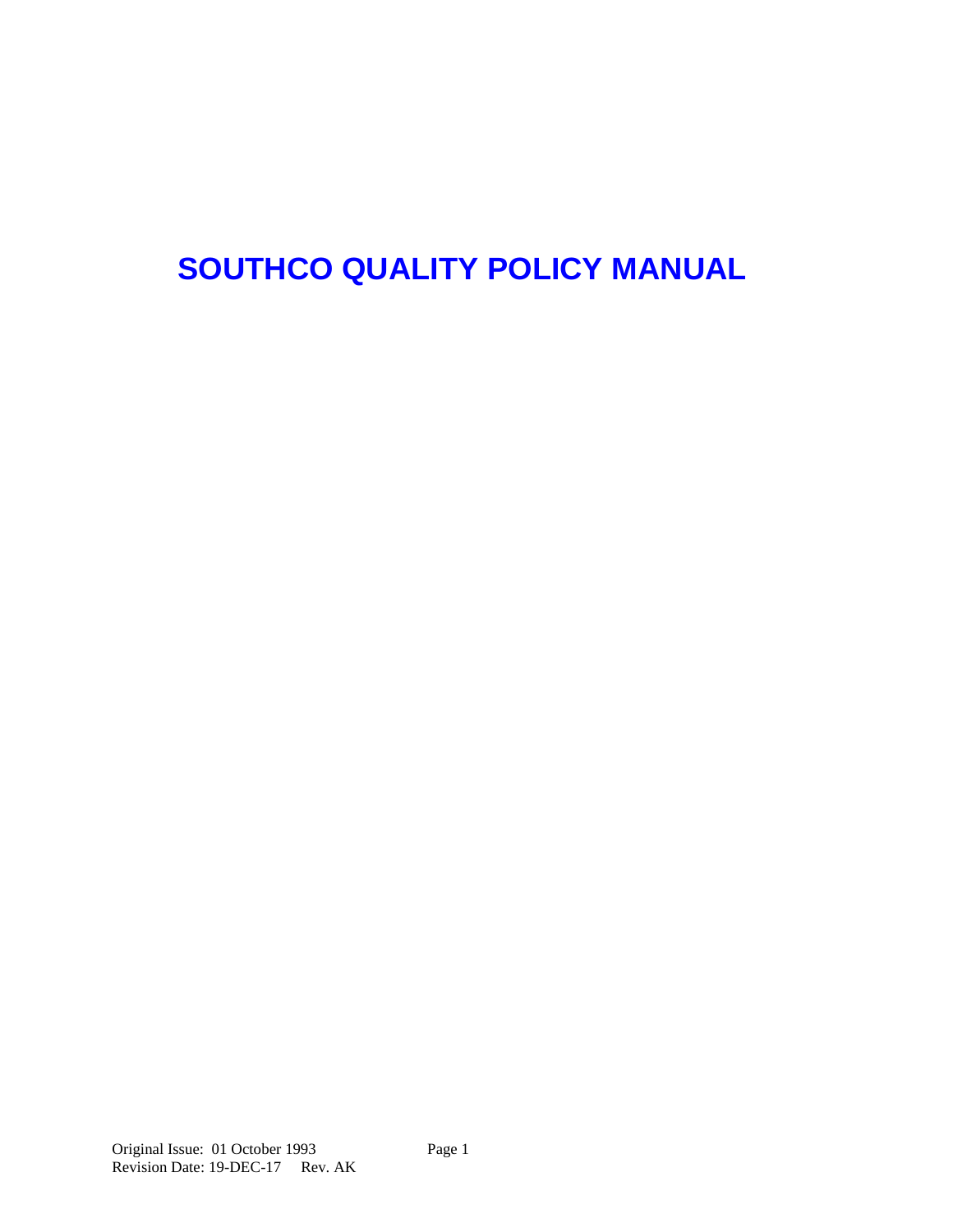# **SOUTHCO QUALITY POLICY MANUAL**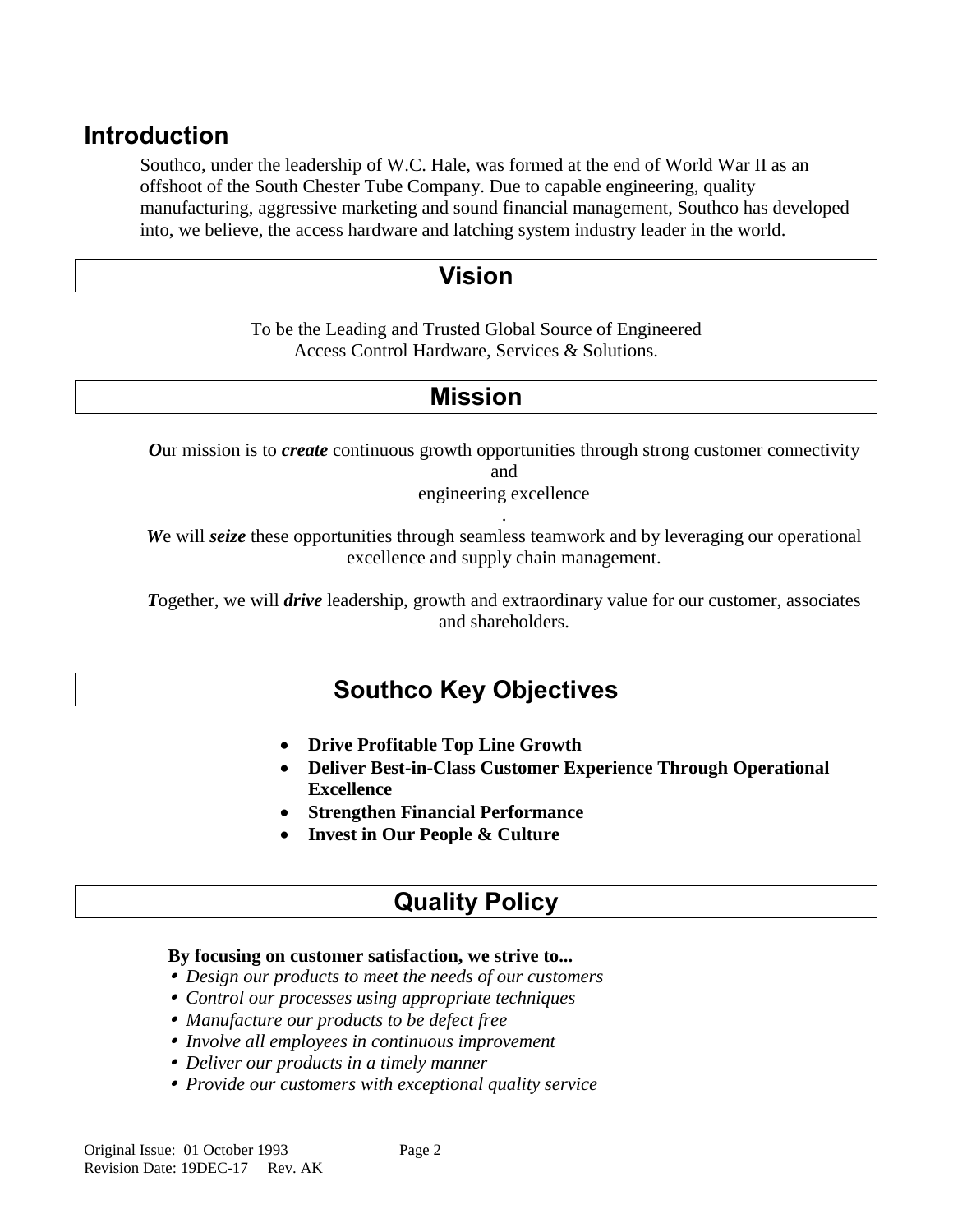### **Introduction**

Southco, under the leadership of W.C. Hale, was formed at the end of World War II as an offshoot of the South Chester Tube Company. Due to capable engineering, quality manufacturing, aggressive marketing and sound financial management, Southco has developed into, we believe, the access hardware and latching system industry leader in the world.

### **Vision**

To be the Leading and Trusted Global Source of Engineered Access Control Hardware, Services & Solutions.

## **Mission**

*O*ur mission is to *create* continuous growth opportunities through strong customer connectivity and engineering excellence

. *W*e will *seize* these opportunities through seamless teamwork and by leveraging our operational

excellence and supply chain management.

*T*ogether, we will *drive* leadership, growth and extraordinary value for our customer, associates and shareholders.

## **Southco Key Objectives**

- **Drive Profitable Top Line Growth**
- **Deliver Best-in-Class Customer Experience Through Operational Excellence**
- **Strengthen Financial Performance**
- **Invest in Our People & Culture**

### **Quality Policy**

#### **By focusing on customer satisfaction, we strive to...**

- *Design our products to meet the needs of our customers*
- *Control our processes using appropriate techniques*
- *Manufacture our products to be defect free*
- *Involve all employees in continuous improvement*
- *Deliver our products in a timely manner*
- *Provide our customers with exceptional quality service*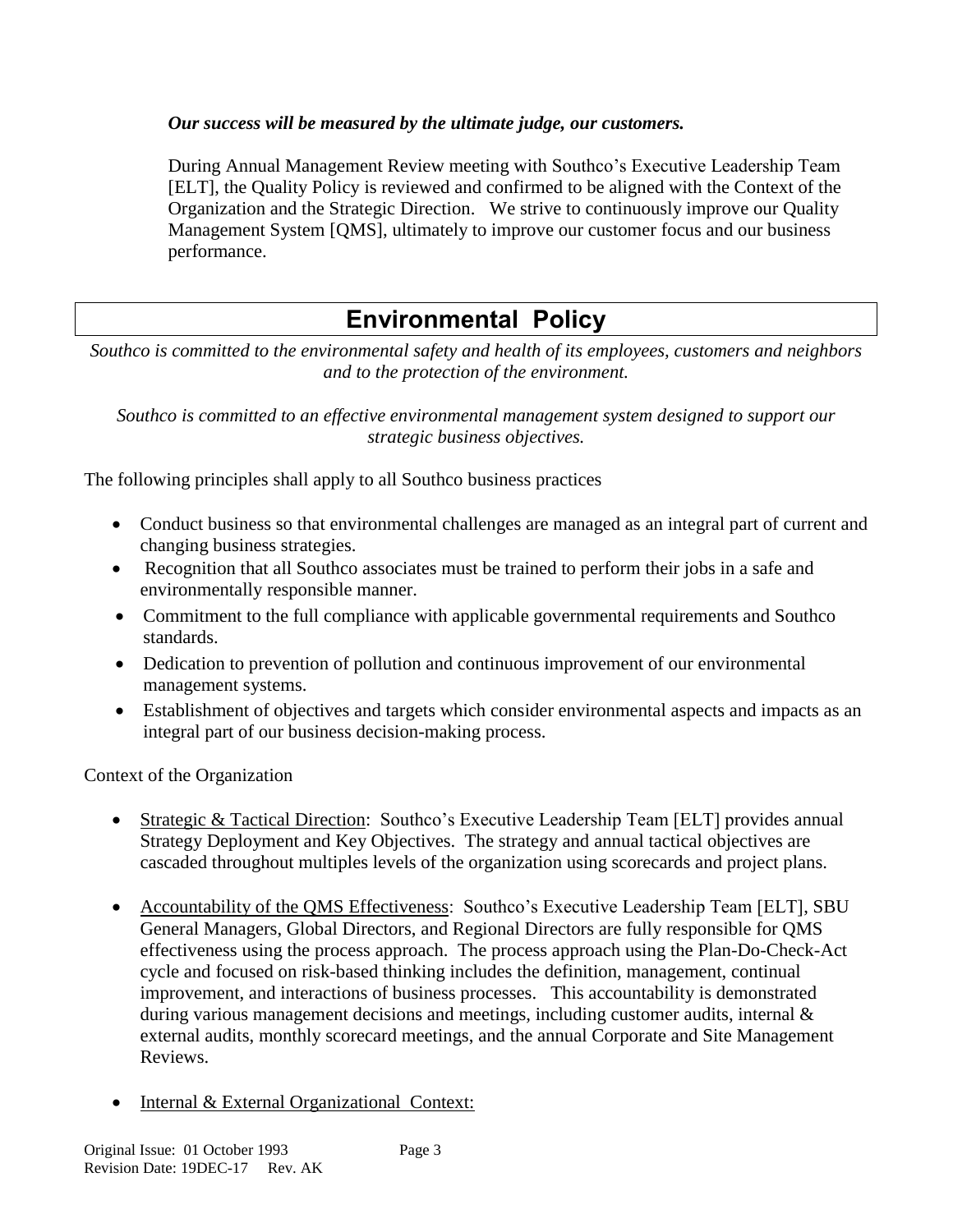#### *Our success will be measured by the ultimate judge, our customers.*

During Annual Management Review meeting with Southco's Executive Leadership Team [ELT], the Quality Policy is reviewed and confirmed to be aligned with the Context of the Organization and the Strategic Direction. We strive to continuously improve our Quality Management System [QMS], ultimately to improve our customer focus and our business performance.

# **Environmental Policy**

*Southco is committed to the environmental safety and health of its employees, customers and neighbors and to the protection of the environment.*

*Southco is committed to an effective environmental management system designed to support our strategic business objectives.*

The following principles shall apply to all Southco business practices

- Conduct business so that environmental challenges are managed as an integral part of current and changing business strategies.
- Recognition that all Southco associates must be trained to perform their jobs in a safe and environmentally responsible manner.
- Commitment to the full compliance with applicable governmental requirements and Southco standards.
- Dedication to prevention of pollution and continuous improvement of our environmental management systems.
- Establishment of objectives and targets which consider environmental aspects and impacts as an integral part of our business decision-making process.

Context of the Organization

- Strategic & Tactical Direction: Southco's Executive Leadership Team [ELT] provides annual Strategy Deployment and Key Objectives. The strategy and annual tactical objectives are cascaded throughout multiples levels of the organization using scorecards and project plans.
- Accountability of the QMS Effectiveness: Southco's Executive Leadership Team [ELT], SBU General Managers, Global Directors, and Regional Directors are fully responsible for QMS effectiveness using the process approach. The process approach using the Plan-Do-Check-Act cycle and focused on risk-based thinking includes the definition, management, continual improvement, and interactions of business processes. This accountability is demonstrated during various management decisions and meetings, including customer audits, internal  $\&$ external audits, monthly scorecard meetings, and the annual Corporate and Site Management Reviews.
- Internal & External Organizational Context: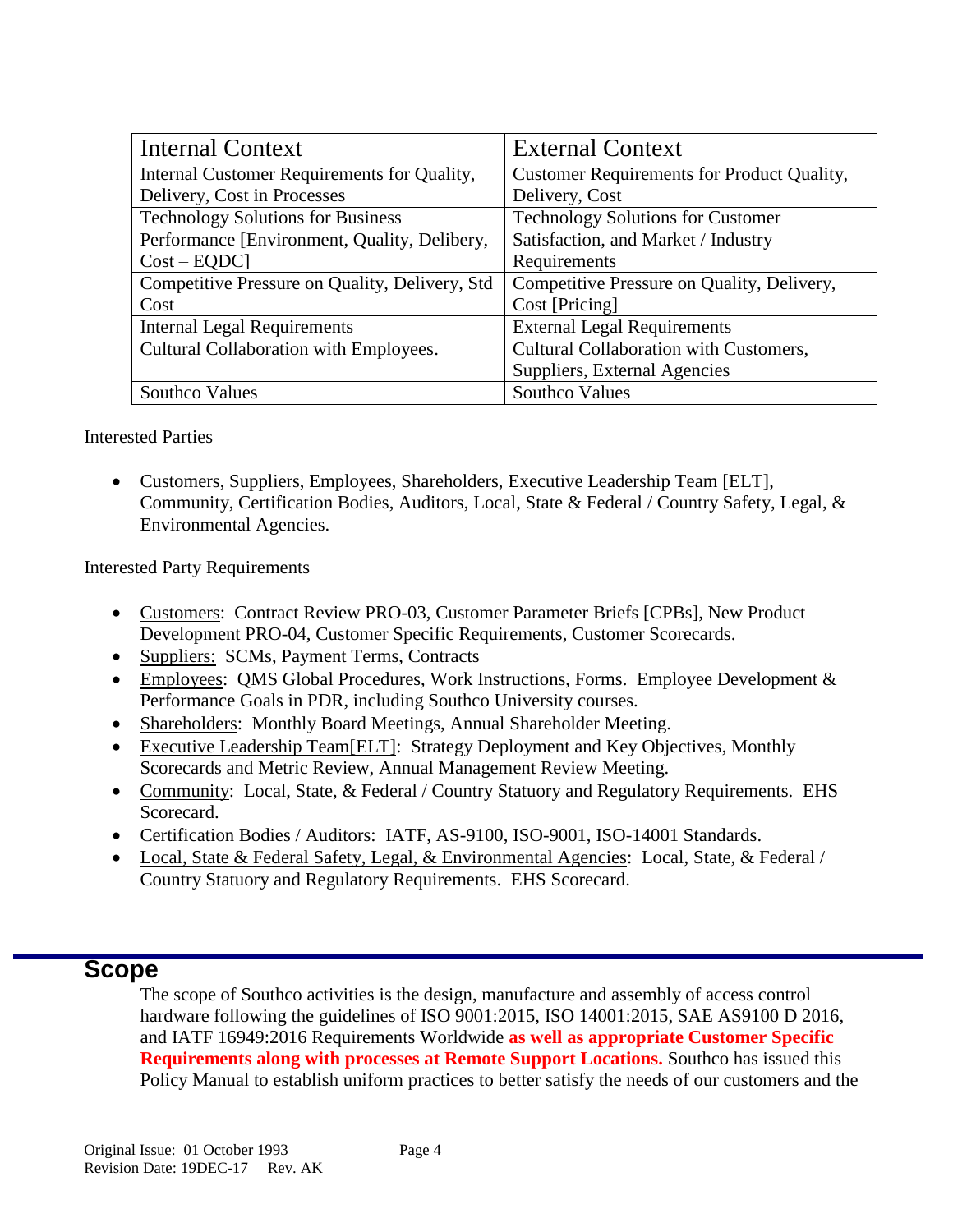| <b>Internal Context</b>                        | <b>External Context</b>                    |
|------------------------------------------------|--------------------------------------------|
| Internal Customer Requirements for Quality,    | Customer Requirements for Product Quality, |
| Delivery, Cost in Processes                    | Delivery, Cost                             |
| <b>Technology Solutions for Business</b>       | <b>Technology Solutions for Customer</b>   |
| Performance [Environment, Quality, Delibery,   | Satisfaction, and Market / Industry        |
| $Cost - EQDC$                                  | Requirements                               |
| Competitive Pressure on Quality, Delivery, Std | Competitive Pressure on Quality, Delivery, |
| Cost                                           | Cost [Pricing]                             |
| <b>Internal Legal Requirements</b>             | <b>External Legal Requirements</b>         |
| Cultural Collaboration with Employees.         | Cultural Collaboration with Customers,     |
|                                                | Suppliers, External Agencies               |
| Southco Values                                 | <b>Southco Values</b>                      |

Interested Parties

 Customers, Suppliers, Employees, Shareholders, Executive Leadership Team [ELT], Community, Certification Bodies, Auditors, Local, State & Federal / Country Safety, Legal, & Environmental Agencies.

Interested Party Requirements

- Customers: Contract Review PRO-03, Customer Parameter Briefs [CPBs], New Product Development PRO-04, Customer Specific Requirements, Customer Scorecards.
- Suppliers: SCMs, Payment Terms, Contracts
- Employees: QMS Global Procedures, Work Instructions, Forms. Employee Development & Performance Goals in PDR, including Southco University courses.
- Shareholders: Monthly Board Meetings, Annual Shareholder Meeting.
- Executive Leadership Team[ELT]: Strategy Deployment and Key Objectives, Monthly Scorecards and Metric Review, Annual Management Review Meeting.
- Community: Local, State, & Federal / Country Statuory and Regulatory Requirements. EHS Scorecard.
- Certification Bodies / Auditors: IATF, AS-9100, ISO-9001, ISO-14001 Standards.
- Local, State & Federal Safety, Legal, & Environmental Agencies: Local, State, & Federal / Country Statuory and Regulatory Requirements. EHS Scorecard.

### **Scope**

The scope of Southco activities is the design, manufacture and assembly of access control hardware following the guidelines of ISO 9001:2015, ISO 14001:2015, SAE AS9100 D 2016, and IATF 16949:2016 Requirements Worldwide **as well as appropriate Customer Specific Requirements along with processes at Remote Support Locations.** Southco has issued this Policy Manual to establish uniform practices to better satisfy the needs of our customers and the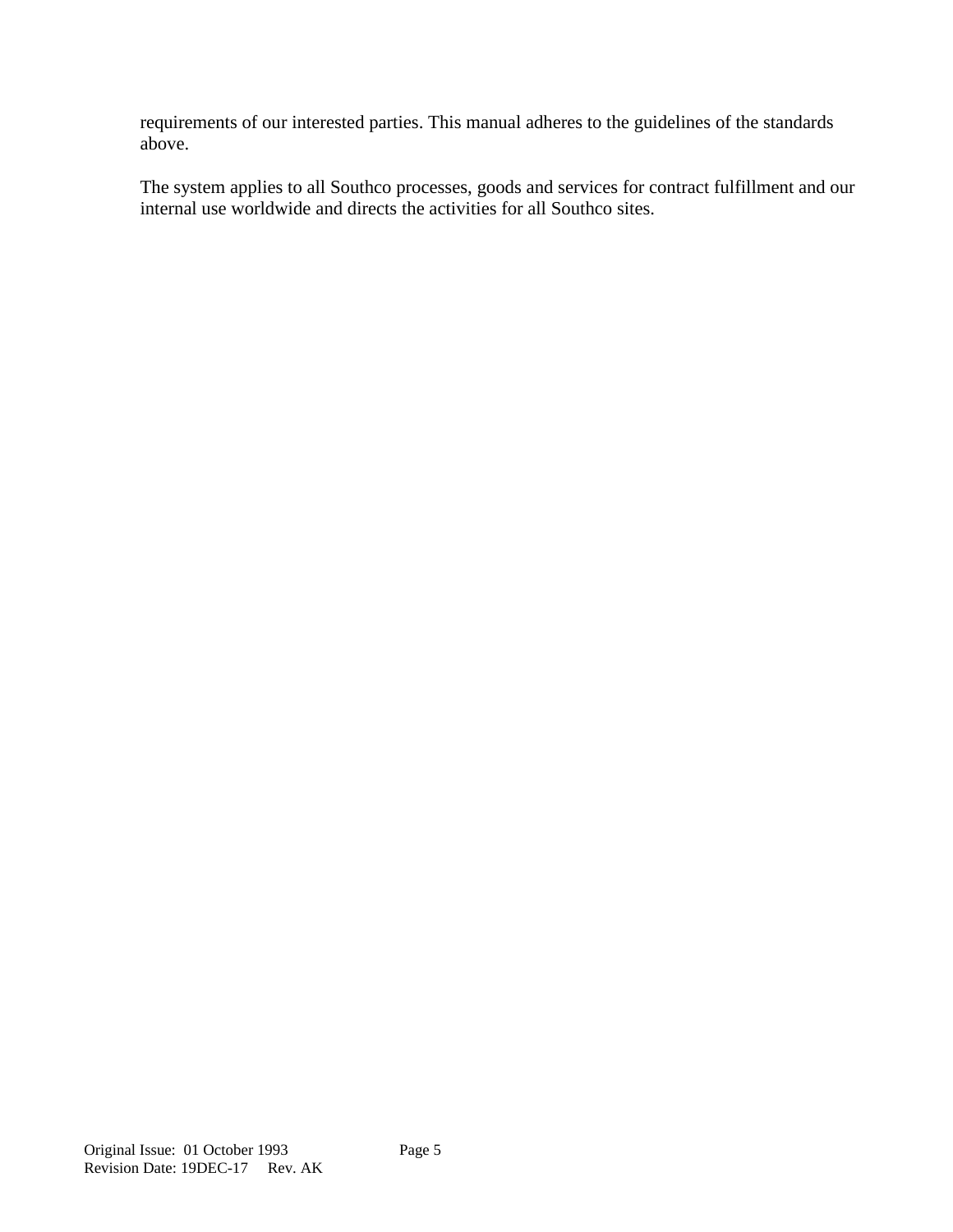requirements of our interested parties. This manual adheres to the guidelines of the standards above.

The system applies to all Southco processes, goods and services for contract fulfillment and our internal use worldwide and directs the activities for all Southco sites.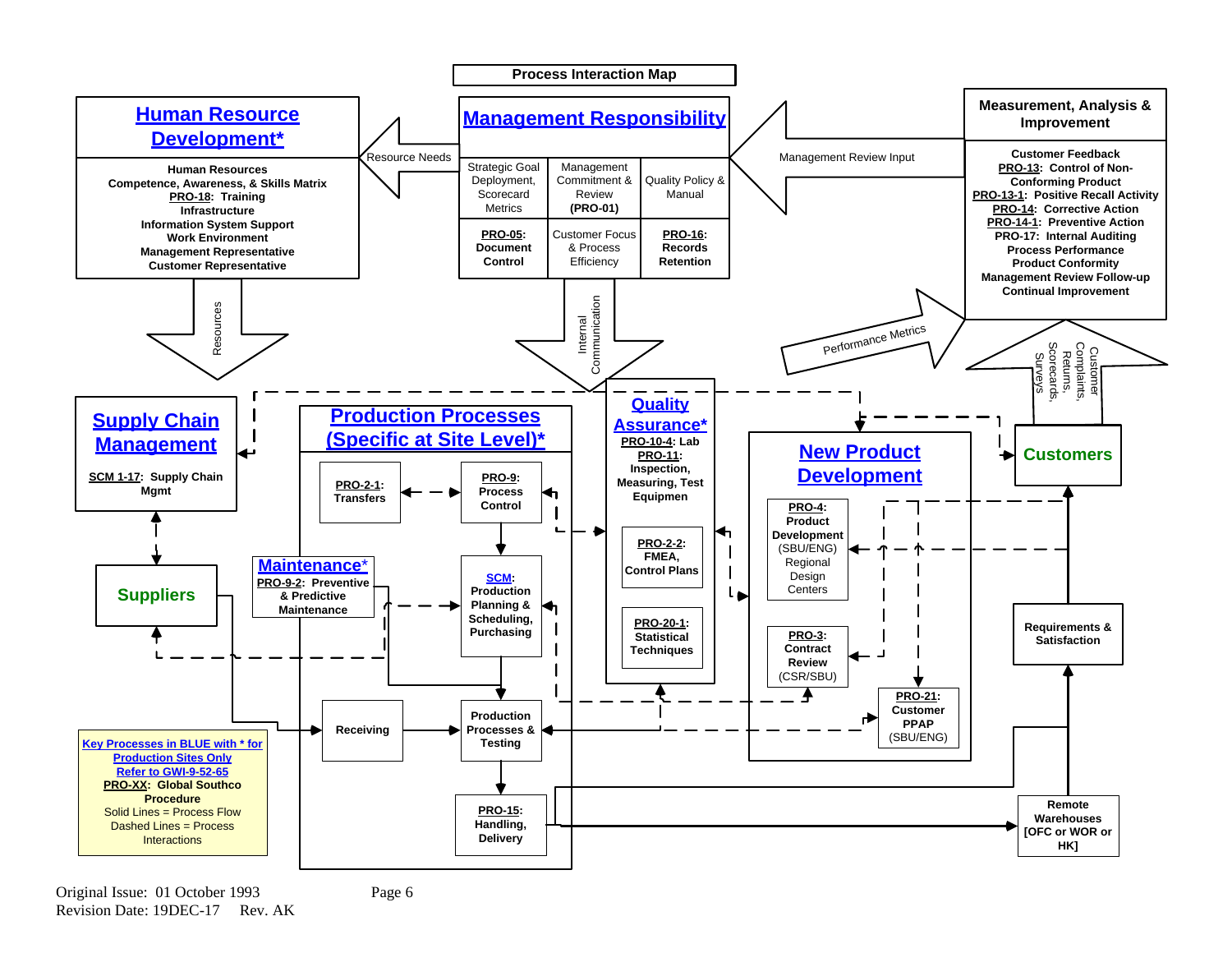

Original Issue: 01 October 1993 Revision Date: 19DEC-17 Rev. AK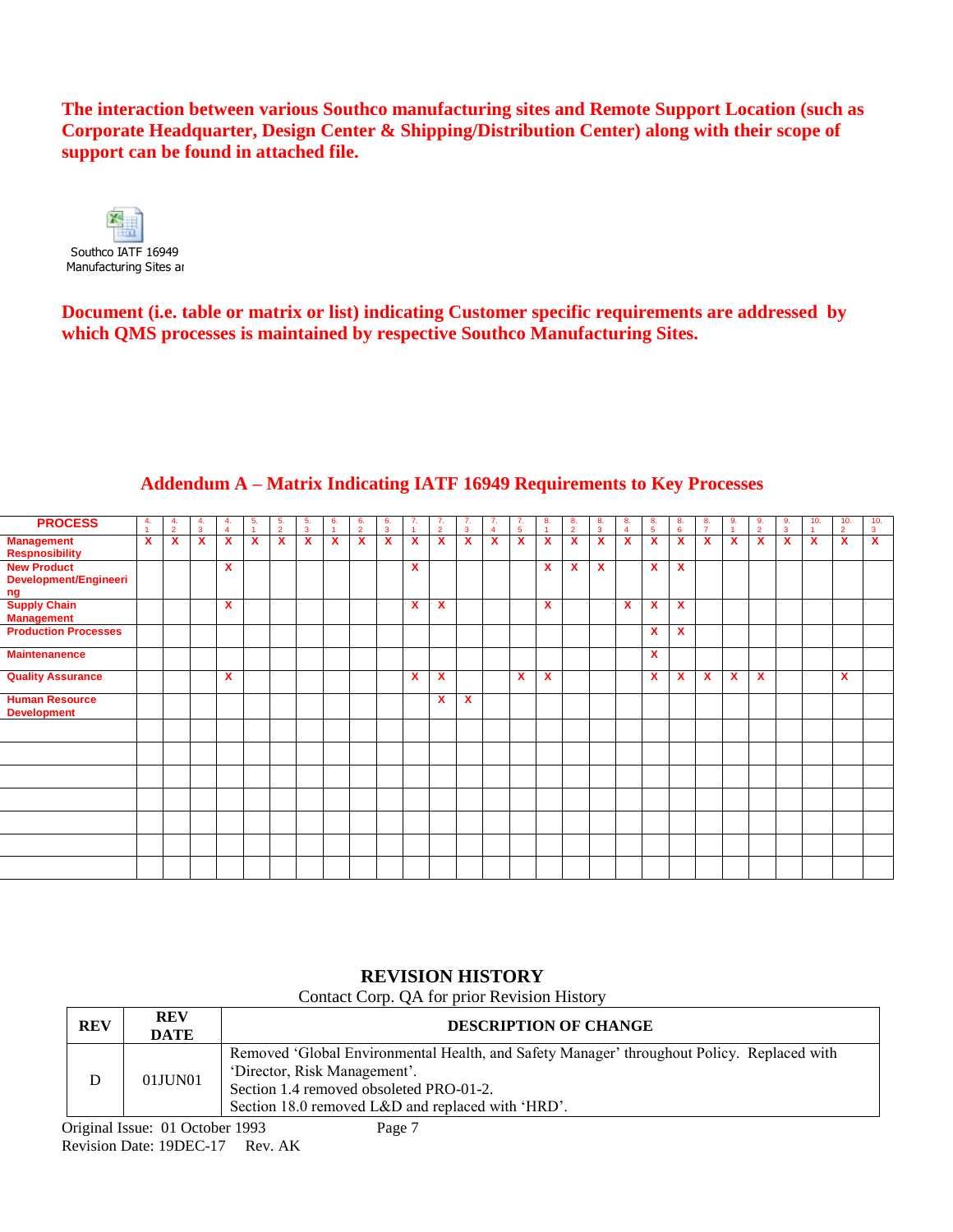**The interaction between various Southco manufacturing sites and Remote Support Location (such as Corporate Headquarter, Design Center & Shipping/Distribution Center) along with their scope of support can be found in attached file.** 



**Document (i.e. table or matrix or list) indicating Customer specific requirements are addressed by which QMS processes is maintained by respective Southco Manufacturing Sites.**

| <b>PROCESS</b>                                    | 4. | $\frac{4}{2}$ | 4.<br>$\mathbf{3}$ | 4. | 5. | 5.<br>$\overline{2}$ | 5.<br>$\overline{3}$ | 6.<br>٠ | 6.<br>$\overline{2}$ | 6.<br>$\overline{\mathbf{3}}$ | -7.                       | 7.<br>$\mathcal{L}$ | 7.<br>$\overline{3}$ | 7.<br>$\overline{a}$ | 7.<br>5                   | -8. | 8.<br>$\overline{2}$ | 8.<br>$\overline{3}$ | 8.<br>$\overline{4}$ | 8.<br>5 <sup>5</sup> | 8.<br>6      | 8.<br>$\overline{7}$ | 9. | -9.<br>$\overline{2}$     | 9.<br>$\mathbf{3}$ | 10. | 10.<br>$\overline{2}$     | 10.<br>3 |
|---------------------------------------------------|----|---------------|--------------------|----|----|----------------------|----------------------|---------|----------------------|-------------------------------|---------------------------|---------------------|----------------------|----------------------|---------------------------|-----|----------------------|----------------------|----------------------|----------------------|--------------|----------------------|----|---------------------------|--------------------|-----|---------------------------|----------|
| <b>Management</b><br><b>Respnosibility</b>        | X  | X             | X                  | X  | x  | x                    | X                    | x       | X                    | $\boldsymbol{\mathsf{x}}$     | $\boldsymbol{\mathsf{x}}$ | x                   | X                    | X                    | $\boldsymbol{\mathsf{x}}$ | x   | X                    | X                    | X                    | X                    | X            | x                    | X  | $\boldsymbol{\mathsf{x}}$ | X                  | X   | $\boldsymbol{\mathsf{x}}$ | X        |
| <b>New Product</b><br>Development/Engineeri<br>ng |    |               |                    | X  |    |                      |                      |         |                      |                               | $\boldsymbol{\mathsf{x}}$ |                     |                      |                      |                           | x   | x                    | X                    |                      | X                    | $\mathbf{x}$ |                      |    |                           |                    |     |                           |          |
| <b>Supply Chain</b><br><b>Management</b>          |    |               |                    | X  |    |                      |                      |         |                      |                               | $\boldsymbol{\mathsf{x}}$ | X                   |                      |                      |                           | x   |                      |                      | x                    | X                    | X            |                      |    |                           |                    |     |                           |          |
| <b>Production Processes</b>                       |    |               |                    |    |    |                      |                      |         |                      |                               |                           |                     |                      |                      |                           |     |                      |                      |                      | X                    | $\mathbf{x}$ |                      |    |                           |                    |     |                           |          |
| <b>Maintenanence</b>                              |    |               |                    |    |    |                      |                      |         |                      |                               |                           |                     |                      |                      |                           |     |                      |                      |                      | X                    |              |                      |    |                           |                    |     |                           |          |
| <b>Quality Assurance</b>                          |    |               |                    | X  |    |                      |                      |         |                      |                               | X                         | x                   |                      |                      | X                         | x   |                      |                      |                      | X                    | x            | x.                   | X  | $\mathbf x$               |                    |     | X                         |          |
| <b>Human Resource</b><br><b>Development</b>       |    |               |                    |    |    |                      |                      |         |                      |                               |                           | $\mathbf{x}$        | X                    |                      |                           |     |                      |                      |                      |                      |              |                      |    |                           |                    |     |                           |          |
|                                                   |    |               |                    |    |    |                      |                      |         |                      |                               |                           |                     |                      |                      |                           |     |                      |                      |                      |                      |              |                      |    |                           |                    |     |                           |          |
|                                                   |    |               |                    |    |    |                      |                      |         |                      |                               |                           |                     |                      |                      |                           |     |                      |                      |                      |                      |              |                      |    |                           |                    |     |                           |          |
|                                                   |    |               |                    |    |    |                      |                      |         |                      |                               |                           |                     |                      |                      |                           |     |                      |                      |                      |                      |              |                      |    |                           |                    |     |                           |          |
|                                                   |    |               |                    |    |    |                      |                      |         |                      |                               |                           |                     |                      |                      |                           |     |                      |                      |                      |                      |              |                      |    |                           |                    |     |                           |          |
|                                                   |    |               |                    |    |    |                      |                      |         |                      |                               |                           |                     |                      |                      |                           |     |                      |                      |                      |                      |              |                      |    |                           |                    |     |                           |          |
|                                                   |    |               |                    |    |    |                      |                      |         |                      |                               |                           |                     |                      |                      |                           |     |                      |                      |                      |                      |              |                      |    |                           |                    |     |                           |          |
|                                                   |    |               |                    |    |    |                      |                      |         |                      |                               |                           |                     |                      |                      |                           |     |                      |                      |                      |                      |              |                      |    |                           |                    |     |                           |          |

#### **Addendum A – Matrix Indicating IATF 16949 Requirements to Key Processes**

#### **REVISION HISTORY**

Contact Corp. QA for prior Revision History

| <b>REV</b> | <b>REV</b><br><b>DATE</b> | <b>DESCRIPTION OF CHANGE</b>                                                                                                                                                                                               |
|------------|---------------------------|----------------------------------------------------------------------------------------------------------------------------------------------------------------------------------------------------------------------------|
| D          | 01JUN01                   | Removed 'Global Environmental Health, and Safety Manager' throughout Policy. Replaced with<br>'Director, Risk Management'.<br>Section 1.4 removed obsoleted PRO-01-2.<br>Section 18.0 removed L&D and replaced with 'HRD'. |
|            | $0.11$ $0.101$ $1.002$    | $\mathbf{r}$ $\mathbf{r}$                                                                                                                                                                                                  |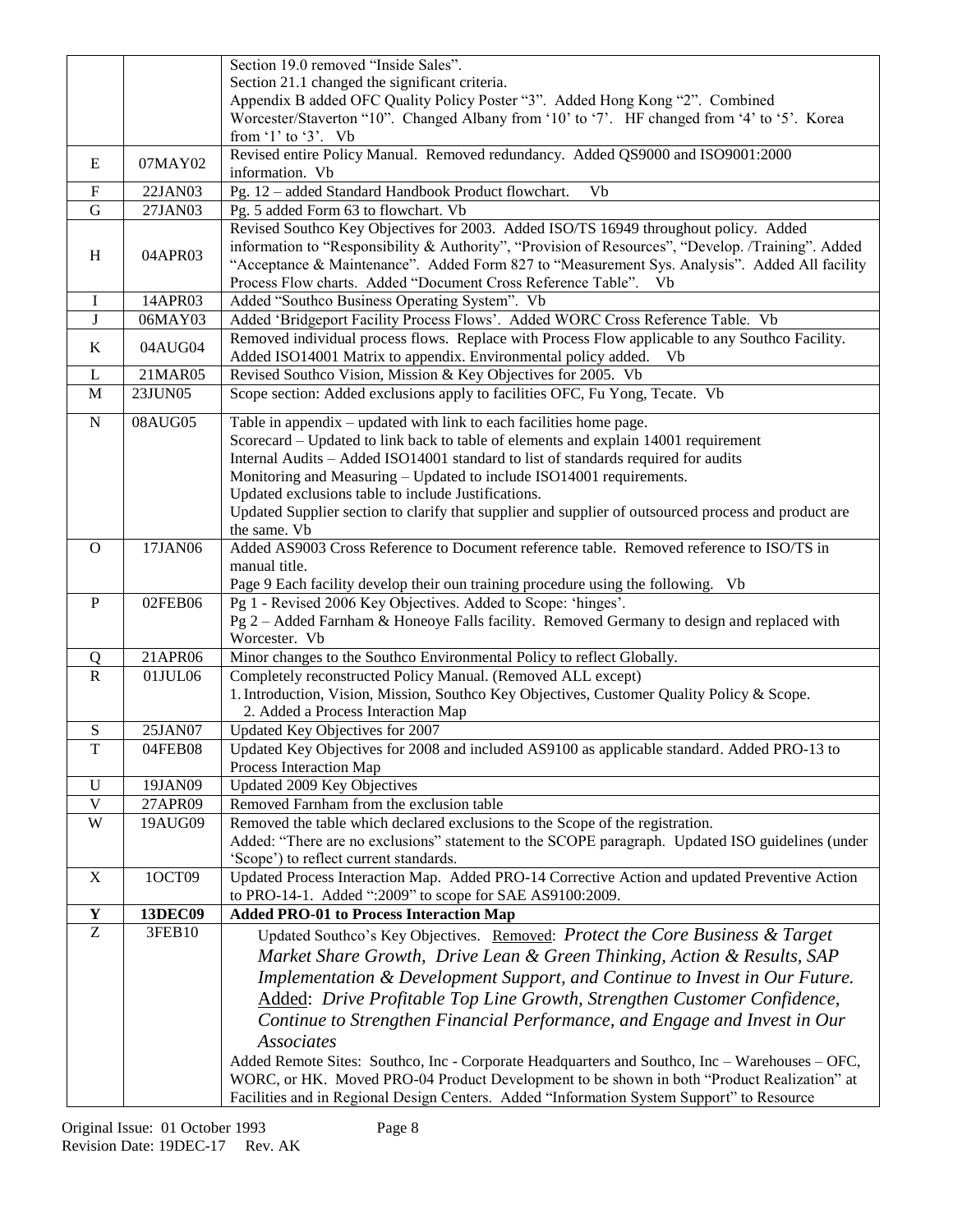|              |                | Section 19.0 removed "Inside Sales".                                                                                                                                                                                                                                                                                                                                                                                                                                                                    |
|--------------|----------------|---------------------------------------------------------------------------------------------------------------------------------------------------------------------------------------------------------------------------------------------------------------------------------------------------------------------------------------------------------------------------------------------------------------------------------------------------------------------------------------------------------|
|              |                | Section 21.1 changed the significant criteria.                                                                                                                                                                                                                                                                                                                                                                                                                                                          |
|              |                | Appendix B added OFC Quality Policy Poster "3". Added Hong Kong "2". Combined                                                                                                                                                                                                                                                                                                                                                                                                                           |
|              |                | Worcester/Staverton "10". Changed Albany from '10' to '7'. HF changed from '4' to '5'. Korea<br>from $1'$ to $3'$ . Vb                                                                                                                                                                                                                                                                                                                                                                                  |
|              |                | Revised entire Policy Manual. Removed redundancy. Added QS9000 and ISO9001:2000                                                                                                                                                                                                                                                                                                                                                                                                                         |
| E            | 07MAY02        | information. Vb                                                                                                                                                                                                                                                                                                                                                                                                                                                                                         |
| $\mathbf F$  | 22JAN03        | Pg. 12 - added Standard Handbook Product flowchart.<br>Vb                                                                                                                                                                                                                                                                                                                                                                                                                                               |
| $\mathbf G$  | 27JAN03        | Pg. 5 added Form 63 to flowchart. Vb                                                                                                                                                                                                                                                                                                                                                                                                                                                                    |
| H            | 04APR03        | Revised Southco Key Objectives for 2003. Added ISO/TS 16949 throughout policy. Added<br>information to "Responsibility & Authority", "Provision of Resources", "Develop. /Training". Added<br>"Acceptance & Maintenance". Added Form 827 to "Measurement Sys. Analysis". Added All facility<br>Process Flow charts. Added "Document Cross Reference Table". Vb                                                                                                                                          |
| $\mathbf I$  | 14APR03        | Added "Southco Business Operating System". Vb                                                                                                                                                                                                                                                                                                                                                                                                                                                           |
| J            | 06MAY03        | Added 'Bridgeport Facility Process Flows'. Added WORC Cross Reference Table. Vb                                                                                                                                                                                                                                                                                                                                                                                                                         |
| K            | 04AUG04        | Removed individual process flows. Replace with Process Flow applicable to any Southco Facility.<br>Added ISO14001 Matrix to appendix. Environmental policy added.<br><b>Vb</b>                                                                                                                                                                                                                                                                                                                          |
| L            | 21MAR05        | Revised Southco Vision, Mission & Key Objectives for 2005. Vb                                                                                                                                                                                                                                                                                                                                                                                                                                           |
| $\mathbf M$  | 23JUN05        | Scope section: Added exclusions apply to facilities OFC, Fu Yong, Tecate. Vb                                                                                                                                                                                                                                                                                                                                                                                                                            |
| $\mathbf N$  | 08AUG05        | Table in appendix – updated with link to each facilities home page.<br>Scorecard – Updated to link back to table of elements and explain 14001 requirement<br>Internal Audits - Added ISO14001 standard to list of standards required for audits<br>Monitoring and Measuring – Updated to include ISO14001 requirements.<br>Updated exclusions table to include Justifications.<br>Updated Supplier section to clarify that supplier and supplier of outsourced process and product are<br>the same. Vb |
| $\Omega$     | 17JAN06        | Added AS9003 Cross Reference to Document reference table. Removed reference to ISO/TS in                                                                                                                                                                                                                                                                                                                                                                                                                |
|              |                | manual title.                                                                                                                                                                                                                                                                                                                                                                                                                                                                                           |
|              |                | Page 9 Each facility develop their oun training procedure using the following. Vb                                                                                                                                                                                                                                                                                                                                                                                                                       |
| $\mathbf{P}$ | 02FEB06        | Pg 1 - Revised 2006 Key Objectives. Added to Scope: 'hinges'.<br>Pg 2 – Added Farnham & Honeoye Falls facility. Removed Germany to design and replaced with<br>Worcester. Vb                                                                                                                                                                                                                                                                                                                            |
| Q            | 21APR06        | Minor changes to the Southco Environmental Policy to reflect Globally.                                                                                                                                                                                                                                                                                                                                                                                                                                  |
| $\mathbb{R}$ | 01JUL06        | Completely reconstructed Policy Manual. (Removed ALL except)<br>1. Introduction, Vision, Mission, Southco Key Objectives, Customer Quality Policy & Scope.<br>2. Added a Process Interaction Map                                                                                                                                                                                                                                                                                                        |
| S            | 25JAN07        | Updated Key Objectives for 2007                                                                                                                                                                                                                                                                                                                                                                                                                                                                         |
| T            | 04FEB08        | Updated Key Objectives for 2008 and included AS9100 as applicable standard. Added PRO-13 to<br>Process Interaction Map                                                                                                                                                                                                                                                                                                                                                                                  |
| U            | 19JAN09        | Updated 2009 Key Objectives                                                                                                                                                                                                                                                                                                                                                                                                                                                                             |
| V            | 27APR09        | Removed Farnham from the exclusion table                                                                                                                                                                                                                                                                                                                                                                                                                                                                |
| W            | 19AUG09        | Removed the table which declared exclusions to the Scope of the registration.<br>Added: "There are no exclusions" statement to the SCOPE paragraph. Updated ISO guidelines (under<br>'Scope') to reflect current standards.                                                                                                                                                                                                                                                                             |
| X            | 1OCT09         | Updated Process Interaction Map. Added PRO-14 Corrective Action and updated Preventive Action<br>to PRO-14-1. Added ":2009" to scope for SAE AS9100:2009.                                                                                                                                                                                                                                                                                                                                               |
| $\mathbf Y$  | <b>13DEC09</b> | <b>Added PRO-01 to Process Interaction Map</b>                                                                                                                                                                                                                                                                                                                                                                                                                                                          |
| Z            | 3FEB10         | Updated Southco's Key Objectives. Removed: Protect the Core Business & Target                                                                                                                                                                                                                                                                                                                                                                                                                           |
|              |                | Market Share Growth, Drive Lean & Green Thinking, Action & Results, SAP                                                                                                                                                                                                                                                                                                                                                                                                                                 |
|              |                | Implementation & Development Support, and Continue to Invest in Our Future.                                                                                                                                                                                                                                                                                                                                                                                                                             |
|              |                | Added: Drive Profitable Top Line Growth, Strengthen Customer Confidence,                                                                                                                                                                                                                                                                                                                                                                                                                                |
|              |                | Continue to Strengthen Financial Performance, and Engage and Invest in Our                                                                                                                                                                                                                                                                                                                                                                                                                              |
|              |                | <b>Associates</b>                                                                                                                                                                                                                                                                                                                                                                                                                                                                                       |
|              |                | Added Remote Sites: Southco, Inc - Corporate Headquarters and Southco, Inc - Warehouses - OFC,<br>WORC, or HK. Moved PRO-04 Product Development to be shown in both "Product Realization" at<br>Facilities and in Regional Design Centers. Added "Information System Support" to Resource                                                                                                                                                                                                               |
|              |                |                                                                                                                                                                                                                                                                                                                                                                                                                                                                                                         |